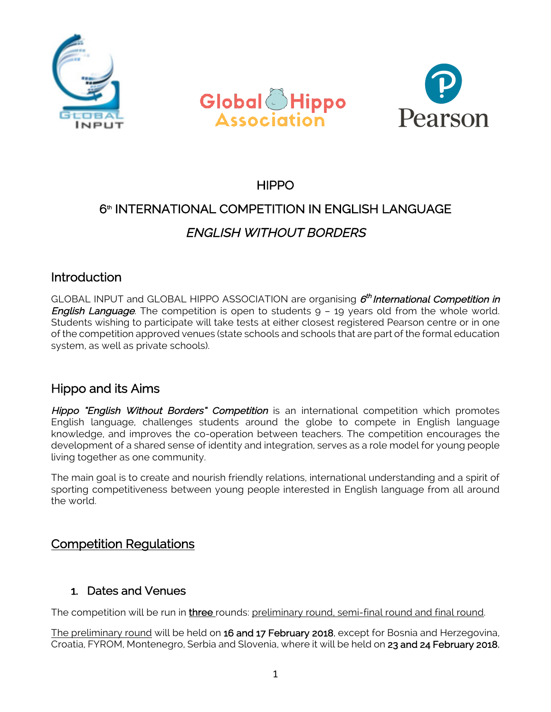





# **HIPPO**

# 6<sup>th</sup> INTERNATIONAL COMPETITION IN ENGLISH LANGUAGE ENGLISH WITHOUT BORDERS

# Introduction

GLOBAL INPUT and GLOBAL HIPPO ASSOCIATION are organising  $6^{th}$  International Competition in **English Language**. The competition is open to students  $9 - 19$  years old from the whole world. Students wishing to participate will take tests at either closest registered Pearson centre or in one of the competition approved venues (state schools and schools that are part of the formal education system, as well as private schools).

# Hippo and its Aims

Hippo "English Without Borders" Competition is an international competition which promotes English language, challenges students around the globe to compete in English language knowledge, and improves the co-operation between teachers. The competition encourages the development of a shared sense of identity and integration, serves as a role model for young people living together as one community.

The main goal is to create and nourish friendly relations, international understanding and a spirit of sporting competitiveness between young people interested in English language from all around the world.

# Competition Regulations

### 1. Dates and Venues

The competition will be run in *three* rounds: preliminary round, semi-final round and final round.

The preliminary round will be held on 16 and 17 February 2018, except for Bosnia and Herzegovina, Croatia, FYROM, Montenegro, Serbia and Slovenia, where it will be held on 23 and 24 February 2018,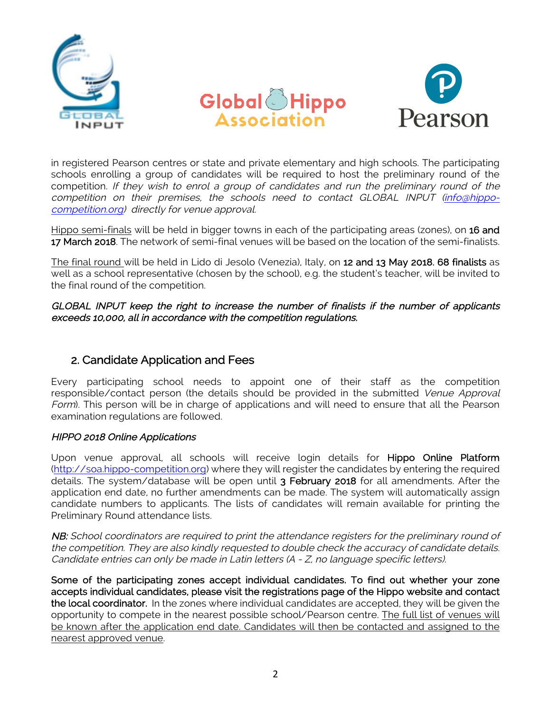





in registered Pearson centres or state and private elementary and high schools. The participating schools enrolling a group of candidates will be required to host the preliminary round of the competition. If they wish to enrol a group of candidates and run the preliminary round of the competition on their premises, the schools need to contact GLOBAL INPUT (info@hippocompetition.org) directly for venue approval.

Hippo semi-finals will be held in bigger towns in each of the participating areas (zones), on 16 and 17 March 2018. The network of semi-final venues will be based on the location of the semi-finalists.

The final round will be held in Lido di Jesolo (Venezia), Italy, on 12 and 13 May 2018. 68 finalists as well as a school representative (chosen by the school), e.g. the student's teacher, will be invited to the final round of the competition.

GLOBAL INPUT keep the right to increase the number of finalists if the number of applicants exceeds 10,000, all in accordance with the competition regulations.

### 2. Candidate Application and Fees

Every participating school needs to appoint one of their staff as the competition responsible/contact person (the details should be provided in the submitted Venue Approval Form). This person will be in charge of applications and will need to ensure that all the Pearson examination regulations are followed.

#### HIPPO 2018 Online Applications

Upon venue approval, all schools will receive login details for Hippo Online Platform (http://soa.hippo-competition.org) where they will register the candidates by entering the required details. The system/database will be open until 3 February 2018 for all amendments. After the application end date, no further amendments can be made. The system will automatically assign candidate numbers to applicants. The lists of candidates will remain available for printing the Preliminary Round attendance lists.

NB: School coordinators are required to print the attendance registers for the preliminary round of the competition. They are also kindly requested to double check the accuracy of candidate details. Candidate entries can only be made in Latin letters (A - Z, no language specific letters).

Some of the participating zones accept individual candidates. To find out whether your zone accepts individual candidates, please visit the registrations page of the Hippo website and contact the local coordinator. In the zones where individual candidates are accepted, they will be given the opportunity to compete in the nearest possible school/Pearson centre. The full list of venues will be known after the application end date. Candidates will then be contacted and assigned to the nearest approved venue.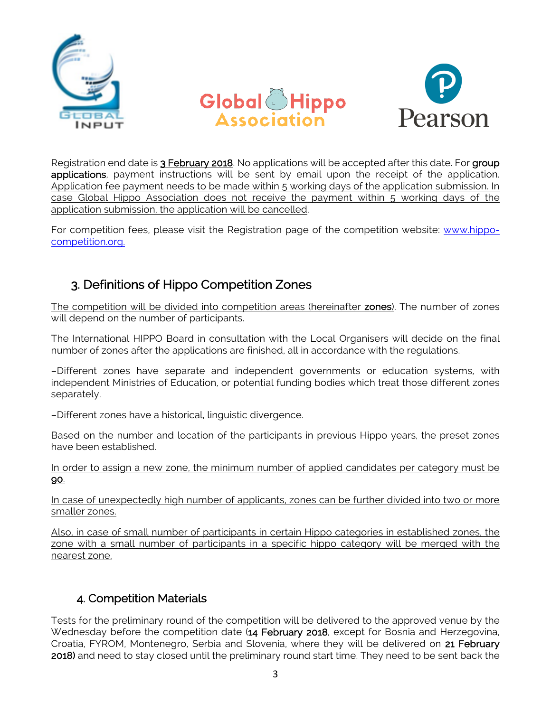





Registration end date is 3 February 2018. No applications will be accepted after this date. For group applications, payment instructions will be sent by email upon the receipt of the application. Application fee payment needs to be made within 5 working days of the application submission. In case Global Hippo Association does not receive the payment within 5 working days of the application submission, the application will be cancelled.

For competition fees, please visit the Registration page of the competition website: www.hippocompetition.org.

# 3. Definitions of Hippo Competition Zones

The competition will be divided into competition areas (hereinafter zones). The number of zones will depend on the number of participants.

The International HIPPO Board in consultation with the Local Organisers will decide on the final number of zones after the applications are finished, all in accordance with the regulations.

–Different zones have separate and independent governments or education systems, with independent Ministries of Education, or potential funding bodies which treat those different zones separately.

–Different zones have a historical, linguistic divergence.

Based on the number and location of the participants in previous Hippo years, the preset zones have been established.

In order to assign a new zone, the minimum number of applied candidates per category must be 90.

In case of unexpectedly high number of applicants, zones can be further divided into two or more smaller zones.

Also, in case of small number of participants in certain Hippo categories in established zones, the zone with a small number of participants in a specific hippo category will be merged with the nearest zone.

# 4. Competition Materials

Tests for the preliminary round of the competition will be delivered to the approved venue by the Wednesday before the competition date (14 February 2018, except for Bosnia and Herzegovina, Croatia, FYROM, Montenegro, Serbia and Slovenia, where they will be delivered on 21 February 2018) and need to stay closed until the preliminary round start time. They need to be sent back the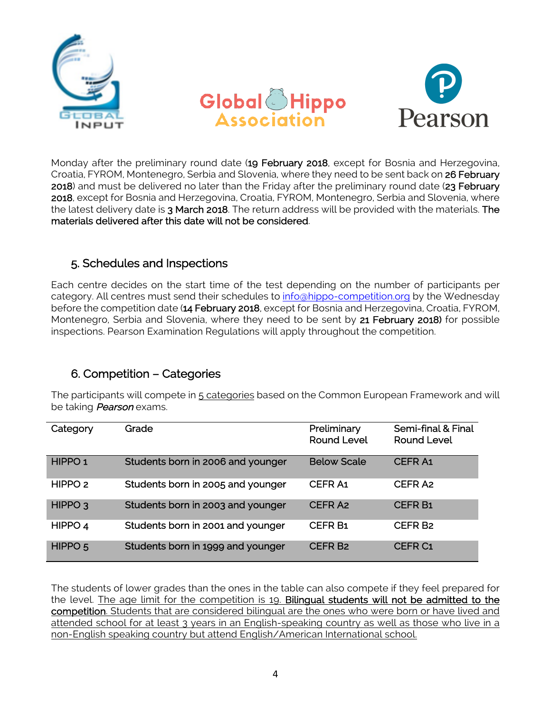





Monday after the preliminary round date (19 February 2018, except for Bosnia and Herzegovina, Croatia, FYROM, Montenegro, Serbia and Slovenia, where they need to be sent back on 26 February 2018) and must be delivered no later than the Friday after the preliminary round date (23 February 2018, except for Bosnia and Herzegovina, Croatia, FYROM, Montenegro, Serbia and Slovenia, where the latest delivery date is 3 March 2018. The return address will be provided with the materials. The materials delivered after this date will not be considered.

# 5. Schedules and Inspections

Each centre decides on the start time of the test depending on the number of participants per category. All centres must send their schedules to info@hippo-competition.org by the Wednesday before the competition date (14 February 2018, except for Bosnia and Herzegovina, Croatia, FYROM, Montenegro, Serbia and Slovenia, where they need to be sent by 21 February 2018) for possible inspections. Pearson Examination Regulations will apply throughout the competition.

# 6. Competition – Categories

The participants will compete in 5 categories based on the Common European Framework and will be taking *Pearson* exams.

| Category           | Grade                             | Preliminary<br><b>Round Level</b> | Semi-final & Final<br><b>Round Level</b> |
|--------------------|-----------------------------------|-----------------------------------|------------------------------------------|
| HIPPO <sub>1</sub> | Students born in 2006 and younger | <b>Below Scale</b>                | <b>CEFRA1</b>                            |
| HIPPO <sub>2</sub> | Students born in 2005 and younger | <b>CEFRA1</b>                     | CEFR <sub>A2</sub>                       |
| HIPPO <sub>3</sub> | Students born in 2003 and younger | <b>CEFRA2</b>                     | <b>CEFR B1</b>                           |
| HIPPO 4            | Students born in 2001 and younger | <b>CEFR B1</b>                    | CEFR B <sub>2</sub>                      |
| HIPPO <sub>5</sub> | Students born in 1999 and younger | <b>CEFR B2</b>                    | <b>CEFR C1</b>                           |

The students of lower grades than the ones in the table can also compete if they feel prepared for the level. The age limit for the competition is 19. Bilingual students will not be admitted to the competition. Students that are considered bilingual are the ones who were born or have lived and attended school for at least 3 years in an English-speaking country as well as those who live in a non-English speaking country but attend English/American International school.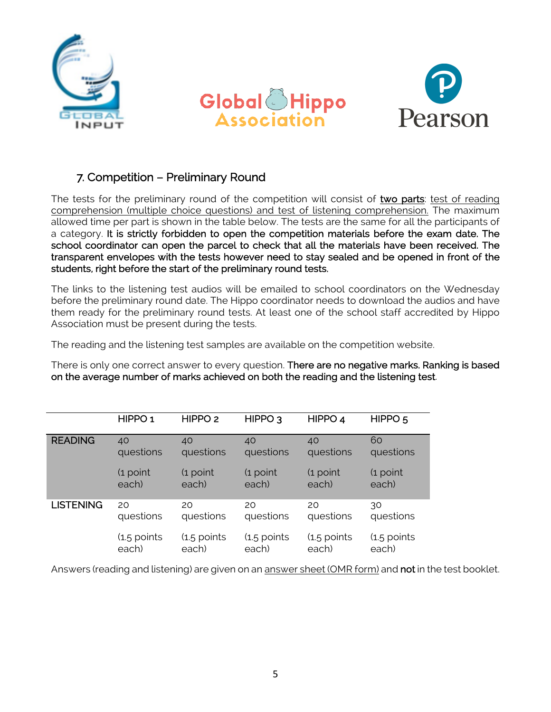





### 7. Competition – Preliminary Round

The tests for the preliminary round of the competition will consist of two parts: test of reading comprehension (multiple choice questions) and test of listening comprehension. The maximum allowed time per part is shown in the table below. The tests are the same for all the participants of a category. It is strictly forbidden to open the competition materials before the exam date. The school coordinator can open the parcel to check that all the materials have been received. The transparent envelopes with the tests however need to stay sealed and be opened in front of the students, right before the start of the preliminary round tests.

The links to the listening test audios will be emailed to school coordinators on the Wednesday before the preliminary round date. The Hippo coordinator needs to download the audios and have them ready for the preliminary round tests. At least one of the school staff accredited by Hippo Association must be present during the tests.

The reading and the listening test samples are available on the competition website.

There is only one correct answer to every question. There are no negative marks. Ranking is based on the average number of marks achieved on both the reading and the listening test.

|                  | HIPPO <sub>1</sub> | HIPPO <sub>2</sub> | HIPPO <sub>3</sub> | HIPPO <sub>4</sub> | HIPPO <sub>5</sub> |
|------------------|--------------------|--------------------|--------------------|--------------------|--------------------|
| <b>READING</b>   | 40                 | 40                 | 40                 | 40                 | 60                 |
|                  | questions          | questions          | questions          | questions          | questions          |
|                  | (1 point           | $(1$ point         | $(1$ point         | $(1$ point         | $(1$ point         |
|                  | each)              | each)              | each)              | each)              | each)              |
| <b>LISTENING</b> | 20                 | 20                 | 20                 | 20                 | 30                 |
|                  | questions          | questions          | questions          | questions          | questions          |
|                  | (1.5 points        | $(1.5$ points      | $(1.5$ points      | $(1.5$ points      | (1.5 points        |
|                  | each)              | each)              | each)              | each)              | each)              |

Answers (reading and listening) are given on an answer sheet (OMR form) and **not** in the test booklet.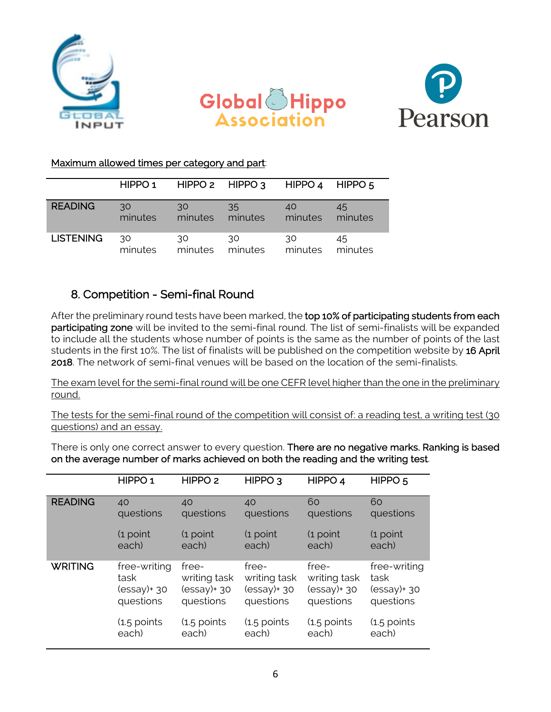





#### Maximum allowed times per category and part:

|                  | HIPPO <sub>1</sub> | $HIPPO2$ $HIPPO3$ |         | HIPPO 4 | HIPPO 5 |
|------------------|--------------------|-------------------|---------|---------|---------|
| <b>READING</b>   | 30                 | 30                | 35      | 40      | 45      |
|                  | minutes            | minutes           | minutes | minutes | minutes |
| <b>LISTENING</b> | 30                 | 30                | 30      | 30      | 45      |
|                  | minutes            | minutes           | minutes | minutes | minutes |

### 8. Competition - Semi-final Round

After the preliminary round tests have been marked, the top 10% of participating students from each participating zone will be invited to the semi-final round. The list of semi-finalists will be expanded to include all the students whose number of points is the same as the number of points of the last students in the first 10%. The list of finalists will be published on the competition website by 16 April 2018. The network of semi-final venues will be based on the location of the semi-finalists.

The exam level for the semi-final round will be one CEFR level higher than the one in the preliminary round.

The tests for the semi-final round of the competition will consist of: a reading test, a writing test (30 questions) and an essay.

There is only one correct answer to every question. There are no negative marks. Ranking is based on the average number of marks achieved on both the reading and the writing test.

|                | HIPPO <sub>1</sub> | HIPPO <sub>2</sub> | HIPPO <sub>3</sub> | HIPPO 4        | HIPPO <sub>5</sub> |
|----------------|--------------------|--------------------|--------------------|----------------|--------------------|
| <b>READING</b> | 40                 | 40                 | 40                 | 60             | 60                 |
|                | questions          | questions          | questions          | questions      | questions          |
|                | (1 point           | $(1$ point         | $(1$ point         | $(1$ point     | $(1$ point         |
|                | each)              | each)              | each)              | each)          | each)              |
| <b>WRITING</b> | free-writing       | free-              | free-              | free-          | free-writing       |
|                | task               | writing task       | writing task       | writing task   | task               |
|                | $(essay)$ + 30     | $(essay)$ + 30     | $(essay)$ + 30     | $(essay)$ + 30 | $(essay)$ + 30     |
|                | questions          | questions          | questions          | questions      | questions          |
|                | $(1.5$ points      | $(1.5$ points      | (1.5 points        | (1.5 points    | $(1.5$ points      |
|                | each)              | each)              | each)              | each)          | each)              |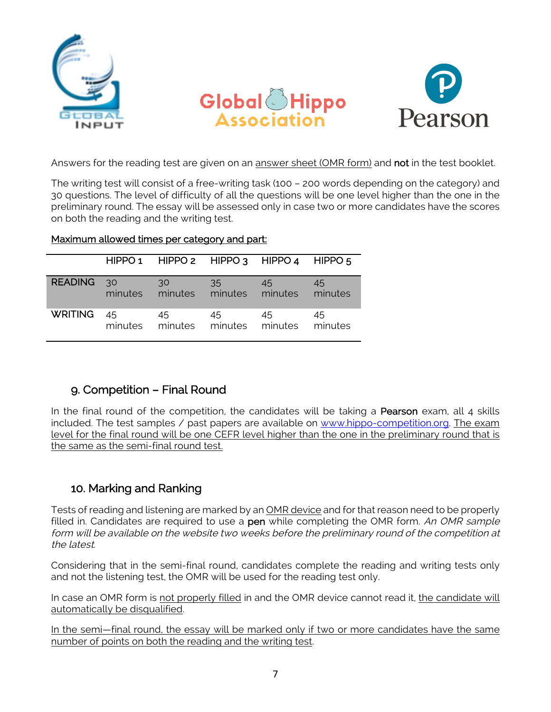





Answers for the reading test are given on an answer sheet (OMR form) and not in the test booklet.

The writing test will consist of a free-writing task (100 – 200 words depending on the category) and 30 questions. The level of difficulty of all the questions will be one level higher than the one in the preliminary round. The essay will be assessed only in case two or more candidates have the scores on both the reading and the writing test.

|              | HIPPO 1 HIPPO 2 HIPPO 3 HIPPO 4 HIPPO 5          |        |    |    |
|--------------|--------------------------------------------------|--------|----|----|
| READING 30   | $-30$<br>minutes minutes minutes minutes minutes | $35 -$ | 45 | 45 |
| WRITING $45$ | - 45<br>minutes minutes minutes minutes minutes  | 45     | 45 | 45 |

#### Maximum allowed times per category and part:

# 9. Competition – Final Round

In the final round of the competition, the candidates will be taking a **Pearson** exam, all 4 skills included. The test samples / past papers are available on www.hippo-competition.org. The exam level for the final round will be one CEFR level higher than the one in the preliminary round that is the same as the semi-final round test.

### 10. Marking and Ranking

Tests of reading and listening are marked by an OMR device and for that reason need to be properly filled in. Candidates are required to use a pen while completing the OMR form. An OMR sample form will be available on the website two weeks before the preliminary round of the competition at the latest.

Considering that in the semi-final round, candidates complete the reading and writing tests only and not the listening test, the OMR will be used for the reading test only.

In case an OMR form is not properly filled in and the OMR device cannot read it, the candidate will automatically be disqualified.

In the semi—final round, the essay will be marked only if two or more candidates have the same number of points on both the reading and the writing test.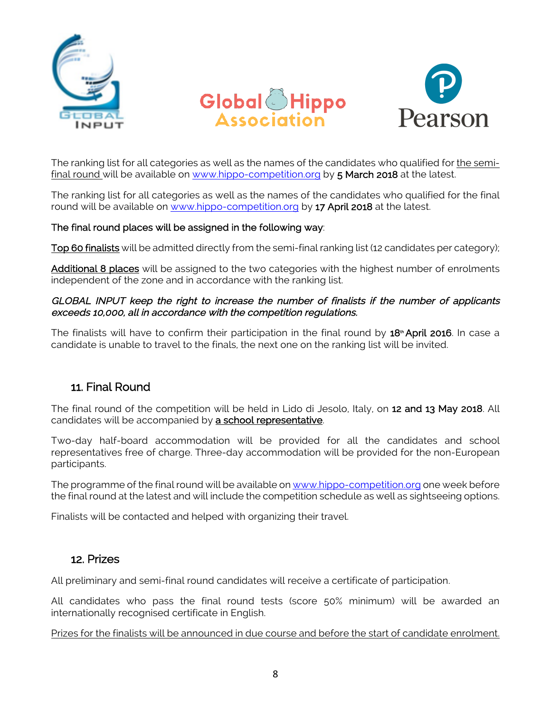





The ranking list for all categories as well as the names of the candidates who qualified for the semifinal round will be available on www.hippo-competition.org by 5 March 2018 at the latest.

The ranking list for all categories as well as the names of the candidates who qualified for the final round will be available on www.hippo-competition.org by 17 April 2018 at the latest.

#### The final round places will be assigned in the following way:

Top 60 finalists will be admitted directly from the semi-final ranking list (12 candidates per category);

Additional 8 places will be assigned to the two categories with the highest number of enrolments independent of the zone and in accordance with the ranking list.

#### GLOBAL INPUT keep the right to increase the number of finalists if the number of applicants exceeds 10,000, all in accordance with the competition regulations.

The finalists will have to confirm their participation in the final round by 18<sup>th</sup> April 2016. In case a candidate is unable to travel to the finals, the next one on the ranking list will be invited.

### 11. Final Round

The final round of the competition will be held in Lido di Jesolo, Italy, on 12 and 13 May 2018. All candidates will be accompanied by a school representative.

Two-day half-board accommodation will be provided for all the candidates and school representatives free of charge. Three-day accommodation will be provided for the non-European participants.

The programme of the final round will be available on www.hippo-competition.org one week before the final round at the latest and will include the competition schedule as well as sightseeing options.

Finalists will be contacted and helped with organizing their travel.

#### 12. Prizes

All preliminary and semi-final round candidates will receive a certificate of participation.

All candidates who pass the final round tests (score 50% minimum) will be awarded an internationally recognised certificate in English.

Prizes for the finalists will be announced in due course and before the start of candidate enrolment.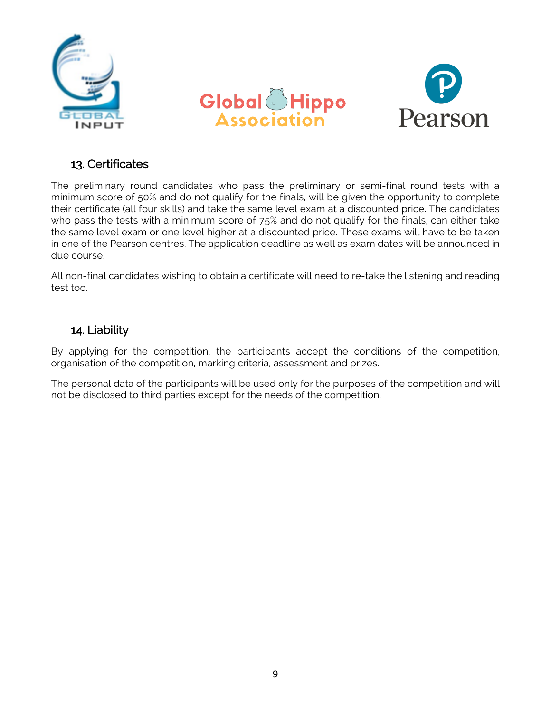





### 13. Certificates

The preliminary round candidates who pass the preliminary or semi-final round tests with a minimum score of 50% and do not qualify for the finals, will be given the opportunity to complete their certificate (all four skills) and take the same level exam at a discounted price. The candidates who pass the tests with a minimum score of 75% and do not qualify for the finals, can either take the same level exam or one level higher at a discounted price. These exams will have to be taken in one of the Pearson centres. The application deadline as well as exam dates will be announced in due course.

All non-final candidates wishing to obtain a certificate will need to re-take the listening and reading test too.

### 14. Liability

By applying for the competition, the participants accept the conditions of the competition, organisation of the competition, marking criteria, assessment and prizes.

The personal data of the participants will be used only for the purposes of the competition and will not be disclosed to third parties except for the needs of the competition.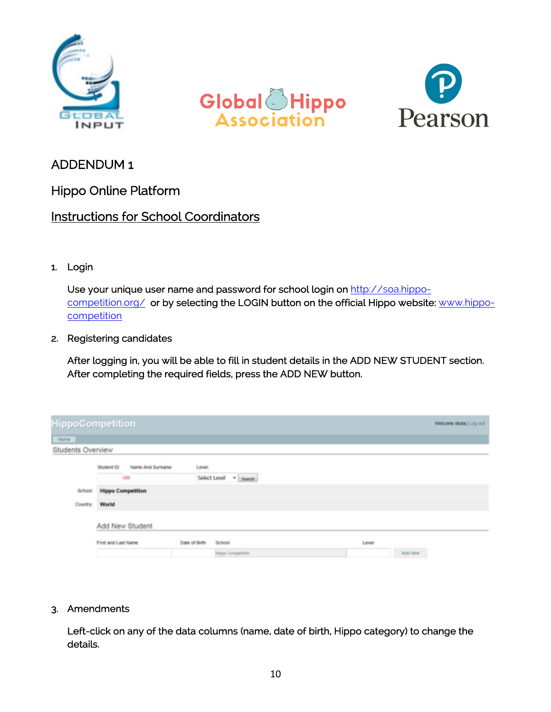





# ADDENDUM 1

Hippo Online Platform

# Instructions for School Coordinators

#### 1. Login

Use your unique user name and password for school login on http://soa.hippocompetition.org/ or by selecting the LOGIN button on the official Hippo website: www.hippo**competition** 

#### 2. Registering candidates

After logging in, you will be able to fill in student details in the ADD NEW STUDENT section. After completing the required fields, press the ADD NEW button.

|                   | <b>HippoCompetition</b>                |                                                     | Welcome skola   Log out |
|-------------------|----------------------------------------|-----------------------------------------------------|-------------------------|
| Home              |                                        |                                                     |                         |
| Students Overview |                                        |                                                     |                         |
|                   | Name And Sumame:<br>Student ID.<br>CHI | Level:<br>Select Level . Search                     |                         |
| School.           | <b>Hippo Competition</b>               |                                                     |                         |
| Country           | World                                  |                                                     |                         |
|                   | Add New Student                        |                                                     |                         |
|                   | First and Last Name                    | <b>School</b><br>Date of Birth<br>Hippo Competition | Level<br>Add New        |

3. Amendments

Left-click on any of the data columns (name, date of birth, Hippo category) to change the details.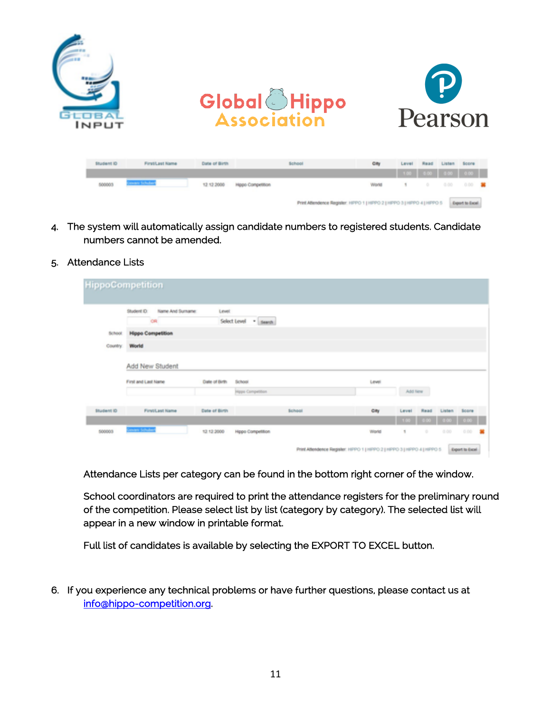

- 4. The system will automatically assign candidate numbers to registered students. Candidate numbers cannot be amended.
- 5. Attendance Lists

|            | Student ID:<br>Name And Sumane: | Level                   |               |       |         |      |        |              |
|------------|---------------------------------|-------------------------|---------------|-------|---------|------|--------|--------------|
|            | CR                              | Select Level * search   |               |       |         |      |        |              |
| School:    | <b>Hippo Competition</b>        |                         |               |       |         |      |        |              |
| Country:   | World                           |                         |               |       |         |      |        |              |
|            | First and Last Name             | Date of Birth<br>School |               | Level |         |      |        |              |
|            |                                 | Hipps Competition       |               |       | Add New |      |        |              |
|            |                                 |                         |               | City  | Level   | Read | Listen | <b>Score</b> |
| Student ID | <b>Firstit ast Name</b>         | Date of Birth           | <b>School</b> |       |         |      |        |              |

Attendance Lists per category can be found in the bottom right corner of the window.

School coordinators are required to print the attendance registers for the preliminary round of the competition. Please select list by list (category by category). The selected list will appear in a new window in printable format.

Full list of candidates is available by selecting the EXPORT TO EXCEL button.

6. If you experience any technical problems or have further questions, please contact us at info@hippo-competition.org.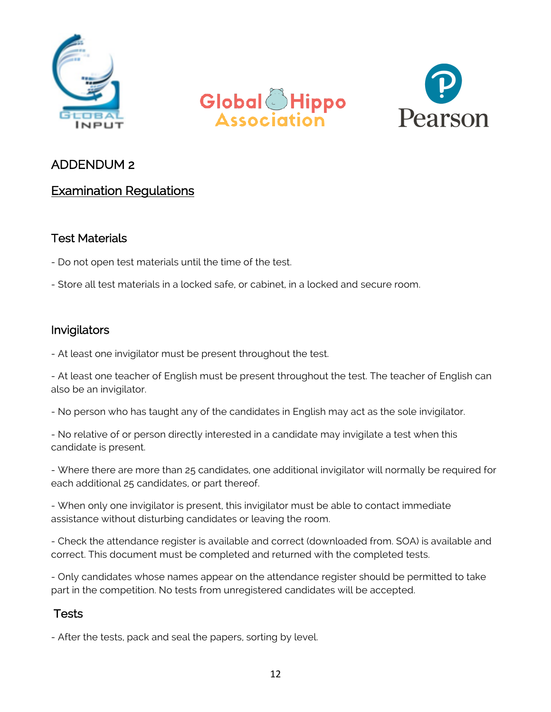





# ADDENDUM 2

# Examination Regulations

### Test Materials

- Do not open test materials until the time of the test.
- Store all test materials in a locked safe, or cabinet, in a locked and secure room.

### Invigilators

- At least one invigilator must be present throughout the test.

- At least one teacher of English must be present throughout the test. The teacher of English can also be an invigilator.

- No person who has taught any of the candidates in English may act as the sole invigilator.

- No relative of or person directly interested in a candidate may invigilate a test when this candidate is present.

- Where there are more than 25 candidates, one additional invigilator will normally be required for each additional 25 candidates, or part thereof.

- When only one invigilator is present, this invigilator must be able to contact immediate assistance without disturbing candidates or leaving the room.

- Check the attendance register is available and correct (downloaded from. SOA) is available and correct. This document must be completed and returned with the completed tests.

- Only candidates whose names appear on the attendance register should be permitted to take part in the competition. No tests from unregistered candidates will be accepted.

# **Tests**

- After the tests, pack and seal the papers, sorting by level.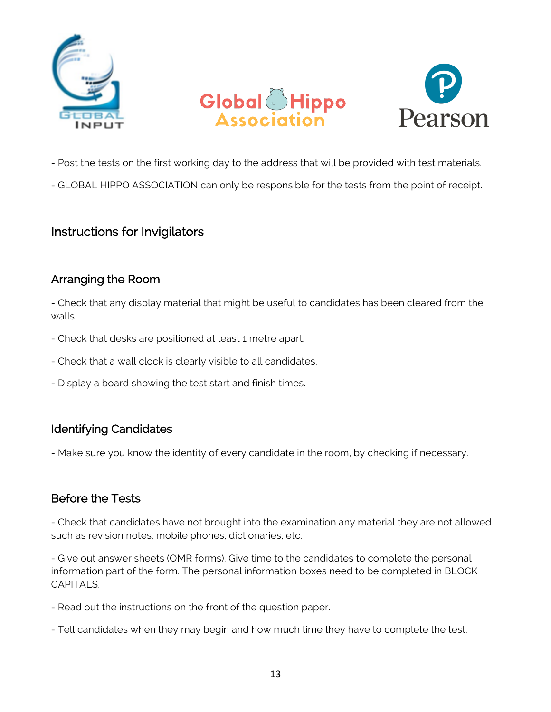





- Post the tests on the first working day to the address that will be provided with test materials.

- GLOBAL HIPPO ASSOCIATION can only be responsible for the tests from the point of receipt.

# Instructions for Invigilators

### Arranging the Room

- Check that any display material that might be useful to candidates has been cleared from the walls.

- Check that desks are positioned at least 1 metre apart.
- Check that a wall clock is clearly visible to all candidates.
- Display a board showing the test start and finish times.

# Identifying Candidates

- Make sure you know the identity of every candidate in the room, by checking if necessary.

### Before the Tests

- Check that candidates have not brought into the examination any material they are not allowed such as revision notes, mobile phones, dictionaries, etc.

- Give out answer sheets (OMR forms). Give time to the candidates to complete the personal information part of the form. The personal information boxes need to be completed in BLOCK CAPITAL<sub>S</sub>.

- Read out the instructions on the front of the question paper.

- Tell candidates when they may begin and how much time they have to complete the test.